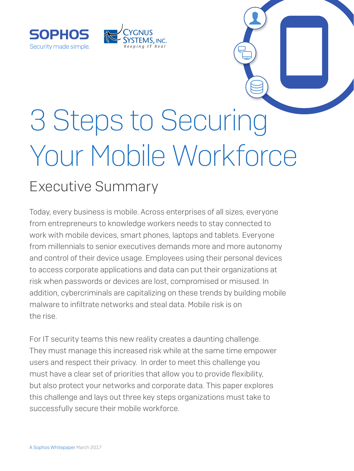

# 3 Steps to Securing Your Mobile Workforce

## Executive Summary

SOPHOS

Security made simple.

Today, every business is mobile. Across enterprises of all sizes, everyone from entrepreneurs to knowledge workers needs to stay connected to work with mobile devices, smart phones, laptops and tablets. Everyone from millennials to senior executives demands more and more autonomy and control of their device usage. Employees using their personal devices to access corporate applications and data can put their organizations at risk when passwords or devices are lost, compromised or misused. In addition, cybercriminals are capitalizing on these trends by building mobile malware to infiltrate networks and steal data. Mobile risk is on the rise.

For IT security teams this new reality creates a daunting challenge. They must manage this increased risk while at the same time empower users and respect their privacy. In order to meet this challenge you must have a clear set of priorities that allow you to provide flexibility, but also protect your networks and corporate data. This paper explores this challenge and lays out three key steps organizations must take to successfully secure their mobile workforce.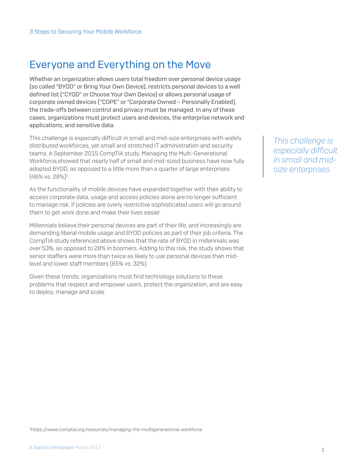## Everyone and Everything on the Move

Whether an organization allows users total freedom over personal device usage (so called "BYOD" or Bring Your Own Device), restricts personal devices to a well defined list ("CYOD" or Choose Your Own Device) or allows personal usage of corporate owned devices ("COPE" or "Corporate Owned – Personally Enabled), the trade-offs between control and privacy must be managed. In any of these cases, organizations must protect users and devices, the enterprise network and applications, and sensitive data.

This challenge is especially difficult in small and mid-size enterprises with widely distributed workforces, yet small and stretched IT administration and security teams. A September 2015 CompTIA study, Managing the Multi-Generational Workforce,showed that nearly half of small and mid-sized business have now fully adopted BYOD, as opposed to a little more than a quarter of large enterprises (46% vs. 28%)1 .

As the functionality of mobile devices have expanded together with their ability to access corporate data, usage and access policies alone are no longer sufficient to manage risk. If policies are overly restrictive sophisticated users will go around them to get work done and make their lives easier.

Millennials believe their personal devices are part of their life, and increasingly are demanding liberal mobile usage and BYOD policies as part of their job criteria. The CompTIA study referenced above shows that the rate of BYOD in millennials was over 53%, as opposed to 28% in boomers. Adding to this risk, the study shows that senior staffers were more than twice as likely to use personal devices than midlevel and lower staff members (65% vs. 32%).

Given these trends, organizations must find technology solutions to these problems that respect and empower users, protect the organization, and are easy to deploy, manage and scale.

*This challenge is especially difficult in small and midsize enterprises*

1 <https://www.comptia.org/resources/managing-the-multigenerational-workforce>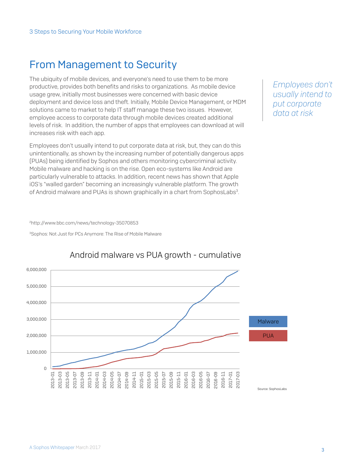## From Management to Security

The ubiquity of mobile devices, and everyone's need to use them to be more productive, provides both benefits and risks to organizations. As mobile device usage grew, initially most businesses were concerned with basic device deployment and device loss and theft. Initially, Mobile Device Management, or MDM solutions came to market to help IT staff manage these two issues. However, employee access to corporate data through mobile devices created additional levels of risk. In addition, the number of apps that employees can download at will increases risk with each app.

Employees don't usually intend to put corporate data at risk, but, they can do this unintentionally, as shown by the increasing number of potentially dangerous apps (PUAs) being identified by Sophos and others monitoring cybercriminal activity. Mobile malware and hacking is on the rise. Open eco-systems like Android are particularly vulnerable to attacks. In addition, recent news has shown that Apple iOS's "walled garden" becoming an increasingly vulnerable platform. The growth of Android malware and PUAs is shown graphically in a chart from SophosLabs<sup>3</sup>.

*Employees don't usually intend to put corporate data at risk*

[2http://www.bbc.com/news/technology-35070853](http://www.bbc.com/news/technology-35070853)

<sup>3</sup>Sophos: Not Just for PCs Anymore: The Rise of Mobile Malware



#### Android malware vs PUA growth - cumulative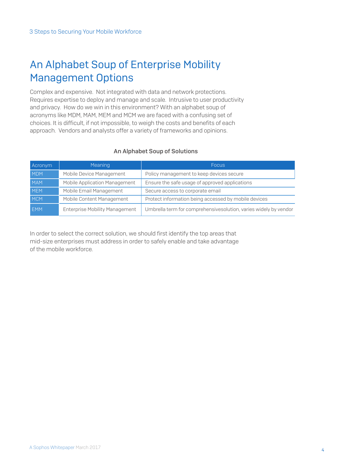## An Alphabet Soup of Enterprise Mobility Management Options

Complex and expensive. Not integrated with data and network protections. Requires expertise to deploy and manage and scale. Intrusive to user productivity and privacy. How do we win in this environment? With an alphabet soup of acronyms like MDM, MAM, MEM and MCM we are faced with a confusing set of choices. It is difficult, if not impossible, to weigh the costs and benefits of each approach. Vendors and analysts offer a variety of frameworks and opinions.

#### An Alphabet Soup of Solutions

| Acronym    | Meaning                        | Focus.                                                           |
|------------|--------------------------------|------------------------------------------------------------------|
| <b>MDM</b> | Mobile Device Management       | Policy management to keep devices secure                         |
| <b>MAM</b> | Mobile Application Management  | Ensure the safe usage of approved applications                   |
| <b>MEM</b> | Mobile Email Management        | Secure access to corporate email                                 |
| <b>MCM</b> | Mobile Content Management      | Protect information being accessed by mobile devices             |
| <b>EMM</b> | Enterprise Mobility Management | Umbrella term for comprehensivesolution, varies widely by vendor |

In order to select the correct solution, we should first identify the top areas that mid-size enterprises must address in order to safely enable and take advantage of the mobile workforce.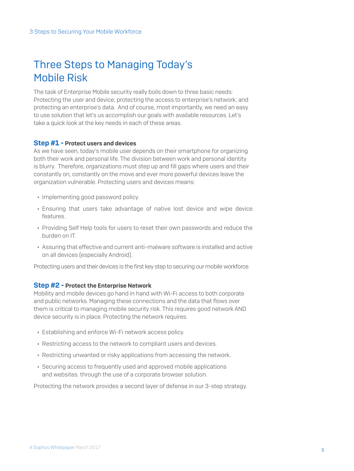## Three Steps to Managing Today's Mobile Risk

The task of Enterprise Mobile security really boils down to three basic needs: Protecting the user and device; protecting the access to enterprise's network; and protecting an enterprise's data. And of course, most importantly, we need an easy to use solution that let's us accomplish our goals with available resources. Let's take a quick look at the key needs in each of these areas.

#### Step #1 - Protect users and devices

As we have seen, today's mobile user depends on their smartphone for organizing both their work and personal life. The division between work and personal identity is blurry. Therefore, organizations must step up and fill gaps where users and their constantly on, constantly on the move and ever more powerful devices leave the organization vulnerable. Protecting users and devices means:

- **Implementing good password policy.**
- $\rightarrow$  Ensuring that users take advantage of native lost device and wipe device features.
- **Providing Self Help tools for users to reset their own passwords and reduce the** burden on IT.
- **Assuring that effective and current anti-malware software is installed and active** on all devices (especially Android).

Protecting users and their devices is the first key step to securing our mobile workforce.

#### Step #2 - Protect the Enterprise Network

Mobility and mobile devices go hand in hand with Wi-Fi access to both corporate and public networks. Managing these connections and the data that flows over them is critical to managing mobile security risk. This requires good network AND device security is in place. Protecting the network requires.

- **Establishing and enforce Wi-Fi network access policy.**
- Restricting access to the network to compliant users and devices.
- $\rightarrow$  Restricting unwanted or risky applications from accessing the network.
- ▶ Securing access to frequently used and approved mobile applications and websites. through the use of a corporate browser solution.

Protecting the network provides a second layer of defense in our 3-step strategy.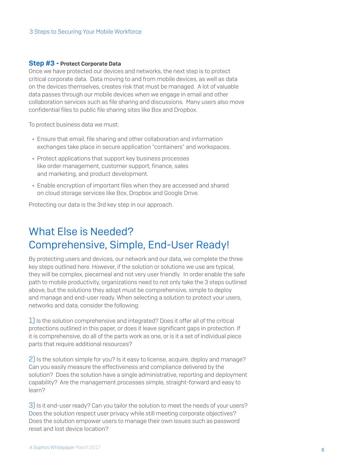#### Step #3 - Protect Corporate Data

Once we have protected our devices and networks, the next step is to protect critical corporate data. Data moving to and from mobile devices, as well as data on the devices themselves, creates risk that must be managed. A lot of valuable data passes through our mobile devices when we engage in email and other collaboration services such as file sharing and discussions. Many users also move confidential files to public file sharing sites like Box and Dropbox.

To protect business data we must:

- **Ensure that email, file sharing and other collaboration and information** exchanges take place in secure application "containers" and workspaces.
- **Protect applications that support key business processes** like order management, customer support, finance, sales and marketing, and product development.
- **Enable encryption of important files when they are accessed and shared** on cloud storage services like Box, Dropbox and Google Drive.

Protecting our data is the 3rd key step in our approach.

## What Else is Needed? Comprehensive, Simple, End-User Ready!

By protecting users and devices, our network and our data, we complete the three key steps outlined here. However, if the solution or solutions we use are typical, they will be complex, piecemeal and not very user friendly. In order enable the safe path to mobile productivity, organizations need to not only take the 3 steps outlined above, but the solutions they adopt must be comprehensive, simple to deploy and manage and end-user ready. When selecting a solution to protect your users, networks and data, consider the following:

1) Is the solution comprehensive and integrated? Does it offer all of the critical protections outlined in this paper, or does it leave significant gaps in protection. If it is comprehensive, do all of the parts work as one, or is it a set of individual piece parts that require additional resources?

2) Is the solution simple for you? Is it easy to license, acquire, deploy and manage? Can you easily measure the effectiveness and compliance delivered by the solution? Does the solution have a single administrative, reporting and deployment capability? Are the management processes simple, straight-forward and easy to learn?

3) Is it end-user ready? Can you tailor the solution to meet the needs of your users? Does the solution respect user privacy while still meeting corporate objectives? Does the solution empower users to manage their own issues such as password reset and lost device location?